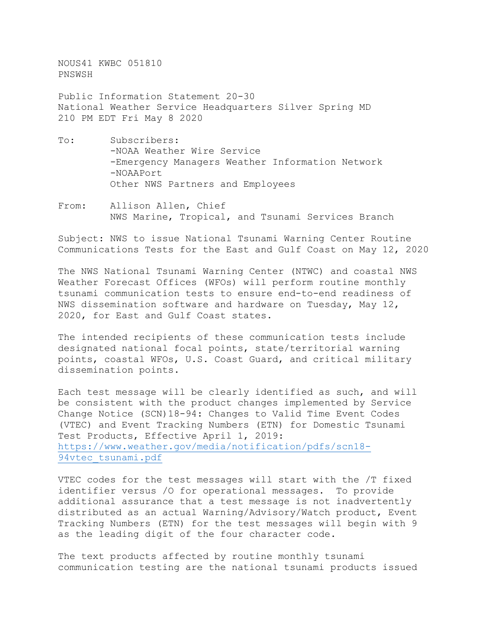NOUS41 KWBC 051810 PNSWSH

Public Information Statement 20-30 National Weather Service Headquarters Silver Spring MD 210 PM EDT Fri May 8 2020

- To: Subscribers: -NOAA Weather Wire Service -Emergency Managers Weather Information Network -NOAAPort Other NWS Partners and Employees
- From: Allison Allen, Chief NWS Marine, Tropical, and Tsunami Services Branch

Subject: NWS to issue National Tsunami Warning Center Routine Communications Tests for the East and Gulf Coast on May 12, 2020

The NWS National Tsunami Warning Center (NTWC) and coastal NWS Weather Forecast Offices (WFOs) will perform routine monthly tsunami communication tests to ensure end-to-end readiness of NWS dissemination software and hardware on Tuesday, May 12, 2020, for East and Gulf Coast states.

The intended recipients of these communication tests include designated national focal points, state/territorial warning points, coastal WFOs, U.S. Coast Guard, and critical military dissemination points.

Each test message will be clearly identified as such, and will be consistent with the product changes implemented by Service Change Notice (SCN)18-94: Changes to Valid Time Event Codes (VTEC) and Event Tracking Numbers (ETN) for Domestic Tsunami Test Products, Effective April 1, 2019: [https://www.weather.gov/media/notification/pdfs/scn18-](https://www.weather.gov/media/notification/pdfs/scn18-94vtec_tsunami.pdf) [94vtec\\_tsunami.pdf](https://www.weather.gov/media/notification/pdfs/scn18-94vtec_tsunami.pdf)

VTEC codes for the test messages will start with the /T fixed identifier versus /O for operational messages. To provide additional assurance that a test message is not inadvertently distributed as an actual Warning/Advisory/Watch product, Event Tracking Numbers (ETN) for the test messages will begin with 9 as the leading digit of the four character code.

The text products affected by routine monthly tsunami communication testing are the national tsunami products issued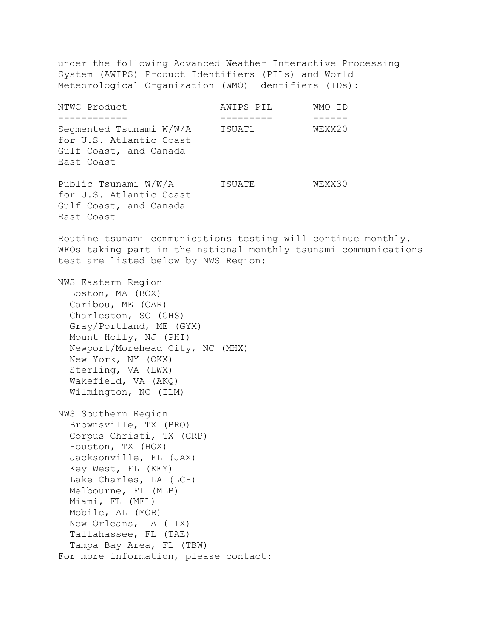under the following Advanced Weather Interactive Processing System (AWIPS) Product Identifiers (PILs) and World Meteorological Organization (WMO) Identifiers (IDs): NTWC Product AWIPS PIL WMO ID ------------ --------- ------ Segmented Tsunami  $W/W/A$ for U.S. Atlantic Coast Gulf Coast, and Canada East Coast Public Tsunami W/W/A TSUATE WEXX30 for U.S. Atlantic Coast Gulf Coast, and Canada East Coast Routine tsunami communications testing will continue monthly. WFOs taking part in the national monthly tsunami communications test are listed below by NWS Region: NWS Eastern Region Boston, MA (BOX) Caribou, ME (CAR) Charleston, SC (CHS) Gray/Portland, ME (GYX) Mount Holly, NJ (PHI) Newport/Morehead City, NC (MHX) New York, NY (OKX) Sterling, VA (LWX) Wakefield, VA (AKQ) Wilmington, NC (ILM) NWS Southern Region Brownsville, TX (BRO) Corpus Christi, TX (CRP) Houston, TX (HGX) Jacksonville, FL (JAX) Key West, FL (KEY) Lake Charles, LA (LCH) Melbourne, FL (MLB) Miami, FL (MFL) Mobile, AL (MOB) New Orleans, LA (LIX) Tallahassee, FL (TAE) Tampa Bay Area, FL (TBW) For more information, please contact: